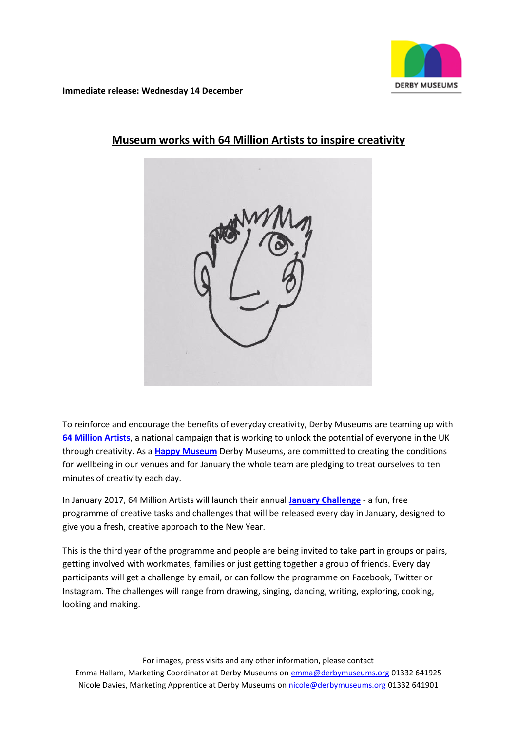

**Immediate release: Wednesday 14 December**



# **Museum works with 64 Million Artists to inspire creativity**

To reinforce and encourage the benefits of everyday creativity, Derby Museums are teaming up with **[64 Million Artists](http://64millionartists.com/)**, a national campaign that is working to unlock the potential of everyone in the UK through creativity. As a **[Happy Museum](http://happymuseumproject.org/)** Derby Museums, are committed to creating the conditions for wellbeing in our venues and for January the whole team are pledging to treat ourselves to ten minutes of creativity each day.

In January 2017, 64 Million Artists will launch their annual **[January Challenge](http://64millionartists.com/the-january-challenge-2017-all-together-now/)** - a fun, free programme of creative tasks and challenges that will be released every day in January, designed to give you a fresh, creative approach to the New Year.

This is the third year of the programme and people are being invited to take part in groups or pairs, getting involved with workmates, families or just getting together a group of friends. Every day participants will get a challenge by email, or can follow the programme on Facebook, Twitter or Instagram. The challenges will range from drawing, singing, dancing, writing, exploring, cooking, looking and making.

For images, press visits and any other information, please contact Emma Hallam, Marketing Coordinator at Derby Museums on [emma@derbymuseums.org](mailto:emma@derbymuseums.org) 01332 641925 Nicole Davies, Marketing Apprentice at Derby Museums o[n nicole@derbymuseums.org](mailto:nicole@derbymuseums.org) 01332 641901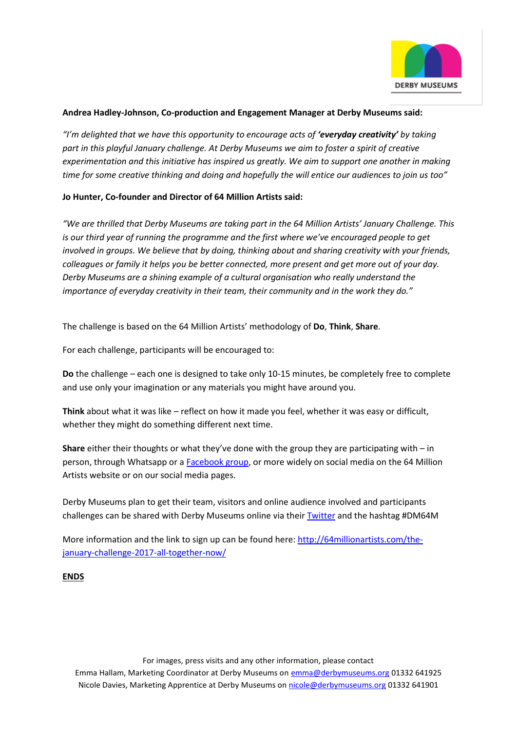

## **Andrea Hadley-Johnson, Co-production and Engagement Manager at Derby Museums said:**

*"I'm delighted that we have this opportunity to encourage acts of 'everyday creativity' by taking part in this playful January challenge. At Derby Museums we aim to foster a spirit of creative experimentation and this initiative has inspired us greatly. We aim to support one another in making time for some creative thinking and doing and hopefully the will entice our audiences to join us too"*

## **Jo Hunter, Co-founder and Director of 64 Million Artists said:**

*"We are thrilled that Derby Museums are taking part in the 64 Million Artists' January Challenge. This is our third year of running the programme and the first where we've encouraged people to get involved in groups. We believe that by doing, thinking about and sharing creativity with your friends, colleagues or family it helps you be better connected, more present and get more out of your day. Derby Museums are a shining example of a cultural organisation who really understand the importance of everyday creativity in their team, their community and in the work they do."*

The challenge is based on the 64 Million Artists' methodology of **Do**, **Think**, **Share**.

For each challenge, participants will be encouraged to:

**Do** the challenge – each one is designed to take only 10-15 minutes, be completely free to complete and use only your imagination or any materials you might have around you.

**Think** about what it was like – reflect on how it made you feel, whether it was easy or difficult, whether they might do something different next time.

**Share** either their thoughts or what they've done with the group they are participating with – in person, through Whatsapp or [a Facebook group,](https://www.facebook.com/64millionartists/?fref=ts) or more widely on social media on the 64 Million Artists website or on our social media pages.

Derby Museums plan to get their team, visitors and online audience involved and participants challenges can be shared with Derby Museums online via thei[r Twitter](https://twitter.com/derbymuseums) and the hashtag #DM64M

More information and the link to sign up can be found here: [http://64millionartists.com/the](http://64millionartists.com/the-january-challenge-2017-all-together-now/)[january-challenge-2017-all-together-now/](http://64millionartists.com/the-january-challenge-2017-all-together-now/)

## **ENDS**